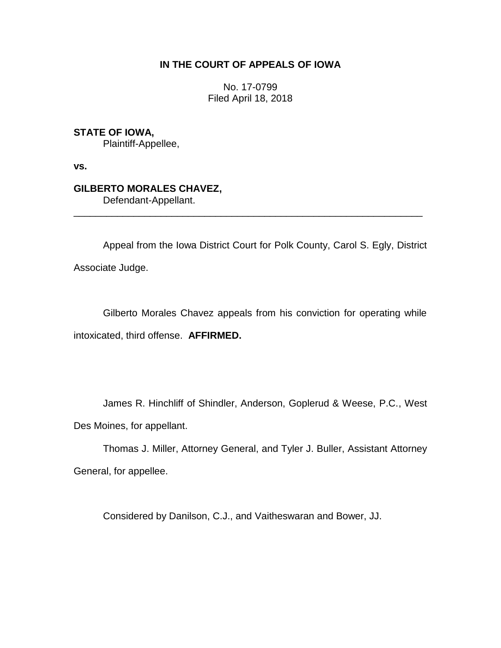## **IN THE COURT OF APPEALS OF IOWA**

No. 17-0799 Filed April 18, 2018

**STATE OF IOWA,** Plaintiff-Appellee,

**vs.**

**GILBERTO MORALES CHAVEZ,** Defendant-Appellant.

Appeal from the Iowa District Court for Polk County, Carol S. Egly, District Associate Judge.

\_\_\_\_\_\_\_\_\_\_\_\_\_\_\_\_\_\_\_\_\_\_\_\_\_\_\_\_\_\_\_\_\_\_\_\_\_\_\_\_\_\_\_\_\_\_\_\_\_\_\_\_\_\_\_\_\_\_\_\_\_\_\_\_

Gilberto Morales Chavez appeals from his conviction for operating while intoxicated, third offense. **AFFIRMED.**

James R. Hinchliff of Shindler, Anderson, Goplerud & Weese, P.C., West Des Moines, for appellant.

Thomas J. Miller, Attorney General, and Tyler J. Buller, Assistant Attorney General, for appellee.

Considered by Danilson, C.J., and Vaitheswaran and Bower, JJ.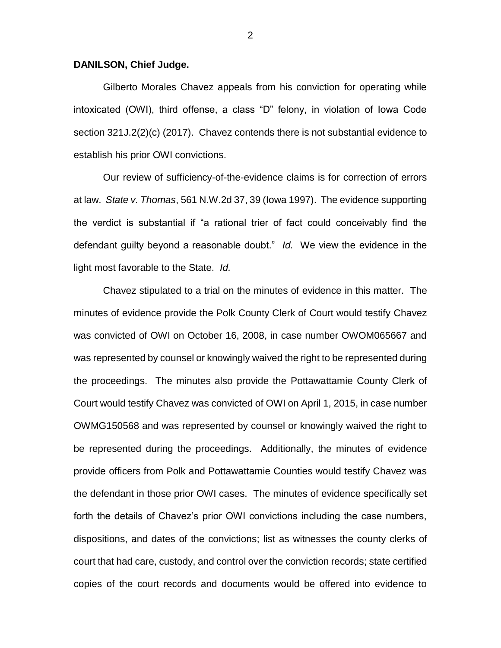## **DANILSON, Chief Judge.**

Gilberto Morales Chavez appeals from his conviction for operating while intoxicated (OWI), third offense, a class "D" felony, in violation of Iowa Code section 321J.2(2)(c) (2017). Chavez contends there is not substantial evidence to establish his prior OWI convictions.

Our review of sufficiency-of-the-evidence claims is for correction of errors at law. *State v. Thomas*, 561 N.W.2d 37, 39 (Iowa 1997). The evidence supporting the verdict is substantial if "a rational trier of fact could conceivably find the defendant guilty beyond a reasonable doubt." *Id.* We view the evidence in the light most favorable to the State. *Id.*

Chavez stipulated to a trial on the minutes of evidence in this matter. The minutes of evidence provide the Polk County Clerk of Court would testify Chavez was convicted of OWI on October 16, 2008, in case number OWOM065667 and was represented by counsel or knowingly waived the right to be represented during the proceedings. The minutes also provide the Pottawattamie County Clerk of Court would testify Chavez was convicted of OWI on April 1, 2015, in case number OWMG150568 and was represented by counsel or knowingly waived the right to be represented during the proceedings. Additionally, the minutes of evidence provide officers from Polk and Pottawattamie Counties would testify Chavez was the defendant in those prior OWI cases. The minutes of evidence specifically set forth the details of Chavez's prior OWI convictions including the case numbers, dispositions, and dates of the convictions; list as witnesses the county clerks of court that had care, custody, and control over the conviction records; state certified copies of the court records and documents would be offered into evidence to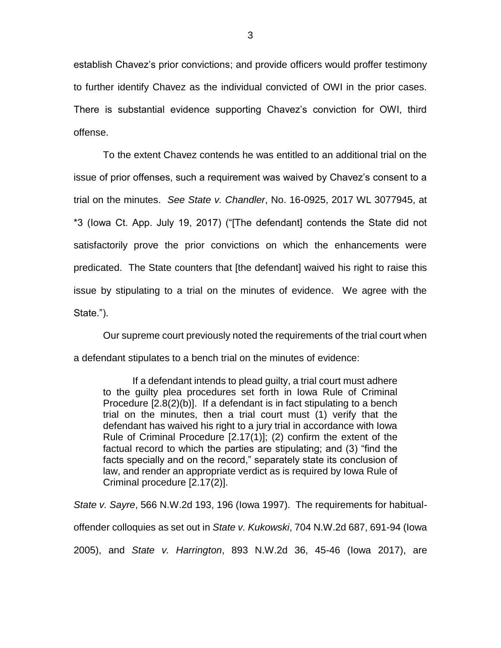establish Chavez's prior convictions; and provide officers would proffer testimony to further identify Chavez as the individual convicted of OWI in the prior cases. There is substantial evidence supporting Chavez's conviction for OWI, third offense.

To the extent Chavez contends he was entitled to an additional trial on the issue of prior offenses, such a requirement was waived by Chavez's consent to a trial on the minutes. *See State v. Chandler*, No. 16-0925, 2017 WL 3077945, at \*3 (Iowa Ct. App. July 19, 2017) ("[The defendant] contends the State did not satisfactorily prove the prior convictions on which the enhancements were predicated. The State counters that [the defendant] waived his right to raise this issue by stipulating to a trial on the minutes of evidence. We agree with the State.").

Our supreme court previously noted the requirements of the trial court when a defendant stipulates to a bench trial on the minutes of evidence:

If a defendant intends to plead guilty, a trial court must adhere to the guilty plea procedures set forth in Iowa Rule of Criminal Procedure [2.8(2)(b)]. If a defendant is in fact stipulating to a bench trial on the minutes, then a trial court must (1) verify that the defendant has waived his right to a jury trial in accordance with Iowa Rule of Criminal Procedure [2.17(1)]; (2) confirm the extent of the factual record to which the parties are stipulating; and (3) "find the facts specially and on the record," separately state its conclusion of law, and render an appropriate verdict as is required by Iowa Rule of Criminal procedure [2.17(2)].

*State v. Sayre*, 566 N.W.2d 193, 196 (Iowa 1997). The requirements for habitualoffender colloquies as set out in *State v. Kukowski*, 704 N.W.2d 687, 691-94 (Iowa 2005), and *State v. Harrington*, 893 N.W.2d 36, 45-46 (Iowa 2017), are